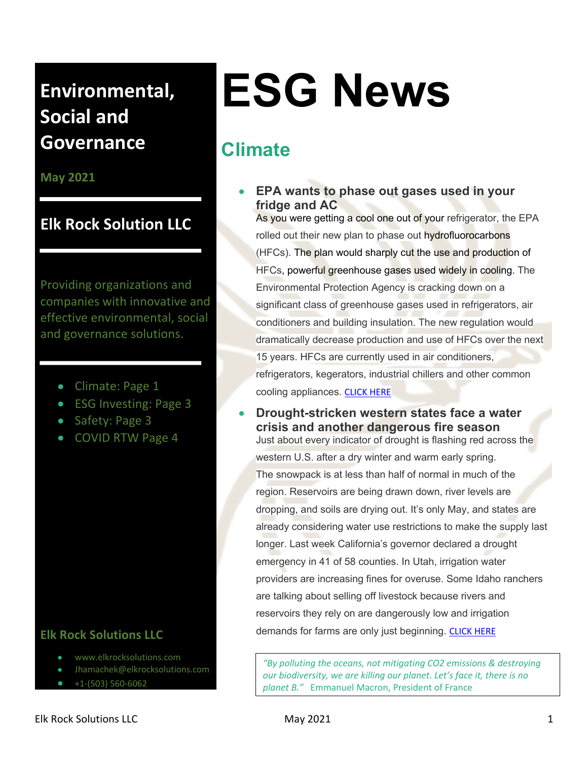**May 2021**

## **Elk Rock Solution LLC**

Providing organizations and companies with innovative and effective environmental, social and governance solutions.

- Climate: Page 1
- ESG Investing: Page 3
- Safety: Page 3
- COVID RTW Page 4

#### **Elk Rock Solutions LLC**

- www.elkrocksolutions.com
- Jhamachek@elkrocksolutions.com
- $\bullet$  +1-(503) 560-6062

# **ESG News**

## **Climate**

• **EPA wants to phase out gases used in your fridge and AC**

As you were getting a cool one out of your refrigerator, the EPA rolled out their new plan to phase out hydrofluorocarbons (HFCs). The plan would sharply cut the use and production of HFCs, powerful greenhouse gases used widely in cooling. The Environmental Protection Agency is cracking down on a significant class of greenhouse gases used in refrigerators, air conditioners and building insulation. The new regulation would dramatically decrease production and use of HFCs over the next 15 years. HFCs are currently used in air conditioners, refrigerators, kegerators, industrial chillers and other common cooling appliances. CLICK HERE

• **Drought-stricken western states face a water crisis and another dangerous fire season** Just about every indicator of drought is flashing red across the western U.S. after a dry winter and warm early spring. The snowpack is at less than half of normal in much of the region. Reservoirs are being drawn down, river levels are dropping, and soils are drying out. It's only May, and states are already considering water use restrictions to make the supply last longer. Last week California's governor declared a drought emergency in 41 of 58 counties. In Utah, irrigation water providers are increasing fines for overuse. Some Idaho ranchers are talking about selling off livestock because rivers and reservoirs they rely on are dangerously low and irrigation demands for farms are only just beginning. CLICK HERE

*"By polluting the oceans, not mitigating CO2 emissions & destroying our biodiversity, we are killing our planet. Let's face it, there is no planet B."* Emmanuel Macron, President of France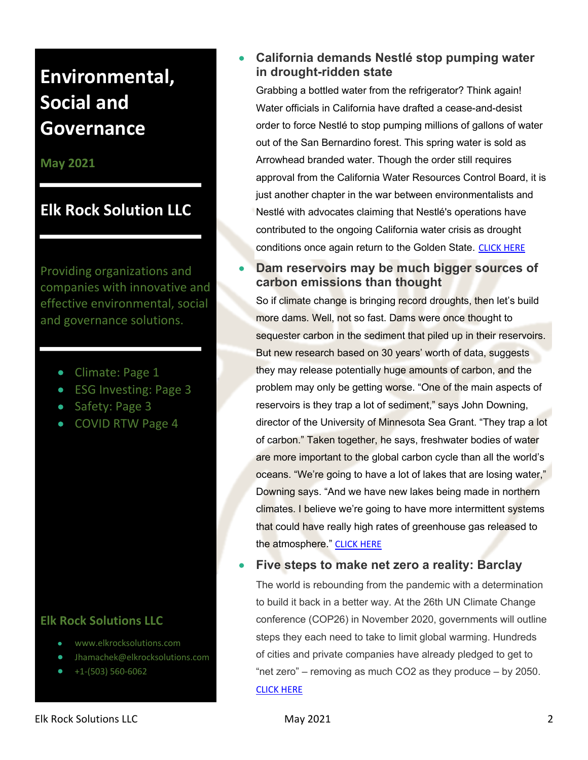#### **May 2021**

## **Elk Rock Solution LLC**

Providing organizations and companies with innovative and effective environmental, social and governance solutions.

- Climate: Page 1
- ESG Investing: Page 3
- Safety: Page 3
- COVID RTW Page 4

#### **Elk Rock Solutions LLC**

- www.elkrocksolutions.com
- Jhamachek@elkrocksolutions.com
- $\bullet$  +1-(503) 560-6062

#### • **California demands Nestlé stop pumping water in drought-ridden state**

Grabbing a bottled water from the refrigerator? Think again! Water officials in California have drafted a cease-and-desist order to force Nestlé to stop pumping millions of gallons of water out of the San Bernardino forest. This spring water is sold as Arrowhead branded water. Though the order still requires approval from the California Water Resources Control Board, it is just another chapter in the war between environmentalists and Nestlé with advocates claiming that Nestlé's operations have contributed to the ongoing California water crisis as drought conditions once again return to the Golden State. CLICK HERE

#### • **Dam reservoirs may be much bigger sources of carbon emissions than thought**

So if climate change is bringing record droughts, then let's build more dams. Well, not so fast. Dams were once thought to sequester carbon in the sediment that piled up in their reservoirs. But new research based on 30 years' worth of data, suggests they may release potentially huge amounts of carbon, and the problem may only be getting worse. "One of the main aspects of reservoirs is they trap a lot of sediment," says John Downing, director of the University of Minnesota Sea Grant. "They trap a lot of carbon." Taken together, he says, freshwater bodies of water are more important to the global carbon cycle than all the world's oceans. "We're going to have a lot of lakes that are losing water," Downing says. "And we have new lakes being made in northern climates. I believe we're going to have more intermittent systems that could have really high rates of greenhouse gas released to the atmosphere." CLICK HERE

#### • **Five steps to make net zero a reality: Barclay**

The world is rebounding from the pandemic with a determination to build it back in a better way. At the 26th UN Climate Change conference (COP26) in November 2020, governments will outline steps they each need to take to limit global warming. Hundreds of cities and private companies have already pledged to get to "net zero" – removing as much CO2 as they produce – by 2050. CLICK HERE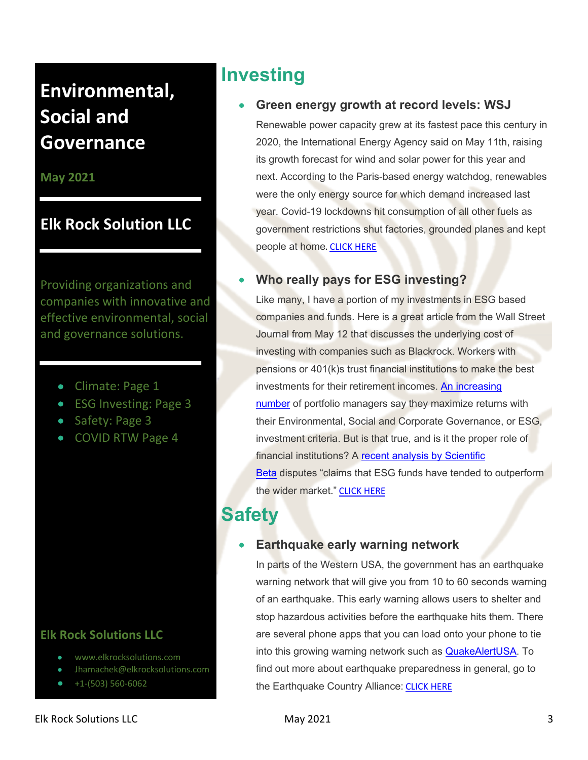#### **May 2021**

## **Elk Rock Solution LLC**

Providing organizations and companies with innovative and effective environmental, social and governance solutions.

- Climate: Page 1
- ESG Investing: Page 3
- Safety: Page 3
- COVID RTW Page 4

#### **Elk Rock Solutions LLC**

- www.elkrocksolutions.com
- Jhamachek@elkrocksolutions.com
- +1-(503) 560-6062

## **Investing**

#### • **Green energy growth at record levels: WSJ**

Renewable power capacity grew at its fastest pace this century in 2020, the International Energy Agency said on May 11th, raising its growth forecast for wind and solar power for this year and next. According to the Paris-based energy watchdog, renewables were the only energy source for which demand increased last year. Covid-19 lockdowns hit consumption of all other fuels as government restrictions shut factories, grounded planes and kept people at home. CLICK HERE

#### • **Who really pays for ESG investing?**

Like many, I have a portion of my investments in ESG based companies and funds. Here is a great article from the Wall Street Journal from May 12 that discusses the underlying cost of investing with companies such as Blackrock. Workers with pensions or 401(k)s trust financial institutions to make the best investments for their retirement incomes. An increasing number of portfolio managers say they maximize returns with their Environmental, Social and Corporate Governance, or ESG, investment criteria. But is that true, and is it the proper role of financial institutions? A recent analysis by Scientific Beta disputes "claims that ESG funds have tended to outperform the wider market." CLICK HERE

## **Safety**

#### • **Earthquake early warning network**

In parts of the Western USA, the government has an earthquake warning network that will give you from 10 to 60 seconds warning of an earthquake. This early warning allows users to shelter and stop hazardous activities before the earthquake hits them. There are several phone apps that you can load onto your phone to tie into this growing warning network such as QuakeAlertUSA. To find out more about earthquake preparedness in general, go to the Earthquake Country Alliance: CLICK HERE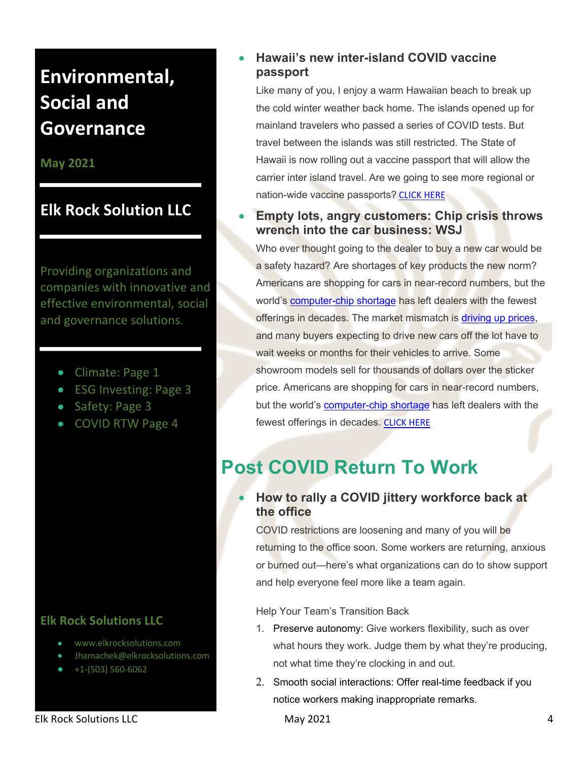**May 2021**

### **Elk Rock Solution LLC**

Providing organizations and companies with innovative and effective environmental, social and governance solutions.

- Climate: Page 1
- ESG Investing: Page 3
- Safety: Page 3
- COVID RTW Page 4

#### **Elk Rock Solutions LLC**

- www.elkrocksolutions.com
- Jhamachek@elkrocksolutions.com
- $\bullet$  +1-(503) 560-6062

#### • **Hawaii's new inter-island COVID vaccine passport**

Like many of you, I enjoy a warm Hawaiian beach to break up the cold winter weather back home. The islands opened up for mainland travelers who passed a series of COVID tests. But travel between the islands was still restricted. The State of Hawaii is now rolling out a vaccine passport that will allow the carrier inter island travel. Are we going to see more regional or nation-wide vaccine passports? CLICK HERE

#### • **Empty lots, angry customers: Chip crisis throws wrench into the car business: WSJ**

Who ever thought going to the dealer to buy a new car would be a safety hazard? Are shortages of key products the new norm? Americans are shopping for cars in near-record numbers, but the world's computer-chip shortage has left dealers with the fewest offerings in decades. The market mismatch is driving up prices, and many buyers expecting to drive new cars off the lot have to wait weeks or months for their vehicles to arrive. Some showroom models sell for thousands of dollars over the sticker price. Americans are shopping for cars in near-record numbers, but the world's computer-chip shortage has left dealers with the fewest offerings in decades. CLICK HERE

## **Post COVID Return To Work**

#### • **How to rally a COVID jittery workforce back at the office**

COVID restrictions are loosening and many of you will be returning to the office soon. Some workers are returning, anxious or burned out—here's what organizations can do to show support and help everyone feel more like a team again.

Help Your Team's Transition Back

- 1. Preserve autonomy: Give workers flexibility, such as over what hours they work. Judge them by what they're producing, not what time they're clocking in and out.
- 2. Smooth social interactions: Offer real-time feedback if you notice workers making inappropriate remarks.